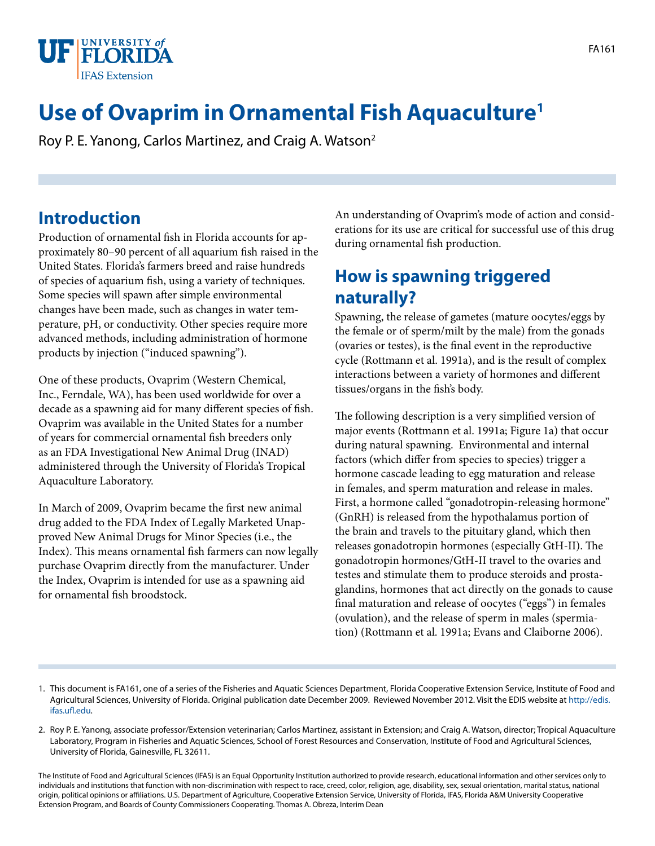

# **Use of Ovaprim in Ornamental Fish Aquaculture1**

Roy P. E. Yanong, Carlos Martinez, and Craig A. Watson2

#### **Introduction**

Production of ornamental fish in Florida accounts for approximately 80–90 percent of all aquarium fish raised in the United States. Florida's farmers breed and raise hundreds of species of aquarium fish, using a variety of techniques. Some species will spawn after simple environmental changes have been made, such as changes in water temperature, pH, or conductivity. Other species require more advanced methods, including administration of hormone products by injection ("induced spawning").

One of these products, Ovaprim (Western Chemical, Inc., Ferndale, WA), has been used worldwide for over a decade as a spawning aid for many different species of fish. Ovaprim was available in the United States for a number of years for commercial ornamental fish breeders only as an FDA Investigational New Animal Drug (INAD) administered through the University of Florida's Tropical Aquaculture Laboratory.

In March of 2009, Ovaprim became the first new animal drug added to the FDA Index of Legally Marketed Unapproved New Animal Drugs for Minor Species (i.e., the Index). This means ornamental fish farmers can now legally purchase Ovaprim directly from the manufacturer. Under the Index, Ovaprim is intended for use as a spawning aid for ornamental fish broodstock.

An understanding of Ovaprim's mode of action and considerations for its use are critical for successful use of this drug during ornamental fish production.

#### **How is spawning triggered naturally?**

Spawning, the release of gametes (mature oocytes/eggs by the female or of sperm/milt by the male) from the gonads (ovaries or testes), is the final event in the reproductive cycle (Rottmann et al. 1991a), and is the result of complex interactions between a variety of hormones and different tissues/organs in the fish's body.

The following description is a very simplified version of major events (Rottmann et al. 1991a; Figure 1a) that occur during natural spawning. Environmental and internal factors (which differ from species to species) trigger a hormone cascade leading to egg maturation and release in females, and sperm maturation and release in males. First, a hormone called "gonadotropin-releasing hormone" (GnRH) is released from the hypothalamus portion of the brain and travels to the pituitary gland, which then releases gonadotropin hormones (especially GtH-II). The gonadotropin hormones/GtH-II travel to the ovaries and testes and stimulate them to produce steroids and prostaglandins, hormones that act directly on the gonads to cause final maturation and release of oocytes ("eggs") in females (ovulation), and the release of sperm in males (spermiation) (Rottmann et al. 1991a; Evans and Claiborne 2006).

The Institute of Food and Agricultural Sciences (IFAS) is an Equal Opportunity Institution authorized to provide research, educational information and other services only to individuals and institutions that function with non-discrimination with respect to race, creed, color, religion, age, disability, sex, sexual orientation, marital status, national origin, political opinions or affiliations. U.S. Department of Agriculture, Cooperative Extension Service, University of Florida, IFAS, Florida A&M University Cooperative Extension Program, and Boards of County Commissioners Cooperating. Thomas A. Obreza, Interim Dean

<sup>1.</sup> This document is FA161, one of a series of the Fisheries and Aquatic Sciences Department, Florida Cooperative Extension Service, Institute of Food and Agricultural Sciences, University of Florida. Original publication date December 2009. Reviewed November 2012. Visit the EDIS website at [http://edis.](http://edis.ifas.ufl.edu) [ifas.ufl.edu.](http://edis.ifas.ufl.edu)

<sup>2.</sup> Roy P. E. Yanong, associate professor/Extension veterinarian; Carlos Martinez, assistant in Extension; and Craig A. Watson, director; Tropical Aquaculture Laboratory, Program in Fisheries and Aquatic Sciences, School of Forest Resources and Conservation, Institute of Food and Agricultural Sciences, University of Florida, Gainesville, FL 32611.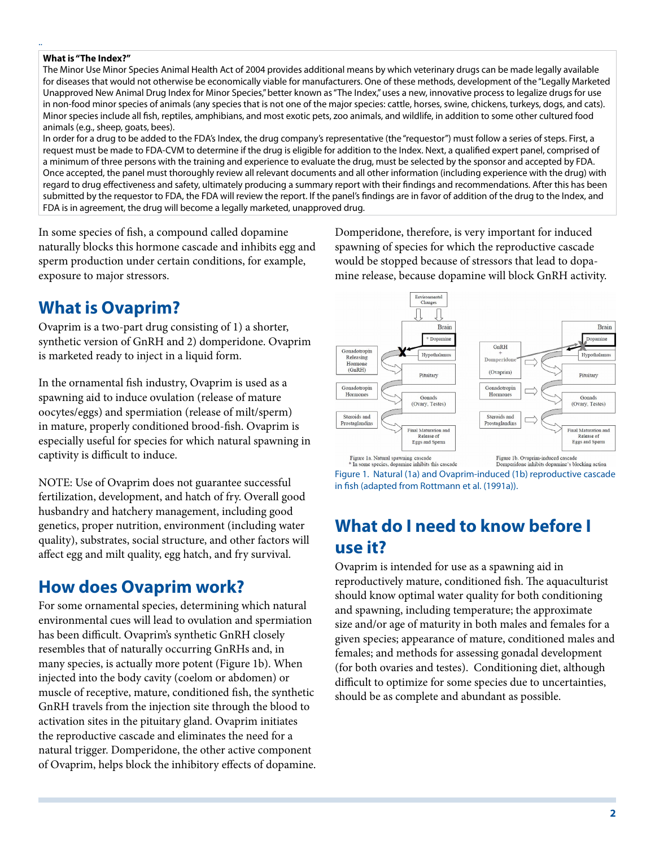#### **What is "The Index?"**

..

The Minor Use Minor Species Animal Health Act of 2004 provides additional means by which veterinary drugs can be made legally available for diseases that would not otherwise be economically viable for manufacturers. One of these methods, development of the "Legally Marketed Unapproved New Animal Drug Index for Minor Species," better known as "The Index," uses a new, innovative process to legalize drugs for use in non-food minor species of animals (any species that is not one of the major species: cattle, horses, swine, chickens, turkeys, dogs, and cats). Minor species include all fish, reptiles, amphibians, and most exotic pets, zoo animals, and wildlife, in addition to some other cultured food animals (e.g., sheep, goats, bees).

In order for a drug to be added to the FDA's Index, the drug company's representative (the "requestor") must follow a series of steps. First, a request must be made to FDA-CVM to determine if the drug is eligible for addition to the Index. Next, a qualified expert panel, comprised of a minimum of three persons with the training and experience to evaluate the drug, must be selected by the sponsor and accepted by FDA. Once accepted, the panel must thoroughly review all relevant documents and all other information (including experience with the drug) with regard to drug effectiveness and safety, ultimately producing a summary report with their findings and recommendations. After this has been submitted by the requestor to FDA, the FDA will review the report. If the panel's findings are in favor of addition of the drug to the Index, and FDA is in agreement, the drug will become a legally marketed, unapproved drug.

In some species of fish, a compound called dopamine naturally blocks this hormone cascade and inhibits egg and sperm production under certain conditions, for example, exposure to major stressors.

#### **What is Ovaprim?**

Ovaprim is a two-part drug consisting of 1) a shorter, synthetic version of GnRH and 2) domperidone. Ovaprim is marketed ready to inject in a liquid form.

In the ornamental fish industry, Ovaprim is used as a spawning aid to induce ovulation (release of mature oocytes/eggs) and spermiation (release of milt/sperm) in mature, properly conditioned brood-fish. Ovaprim is especially useful for species for which natural spawning in captivity is difficult to induce.

NOTE: Use of Ovaprim does not guarantee successful fertilization, development, and hatch of fry. Overall good husbandry and hatchery management, including good genetics, proper nutrition, environment (including water quality), substrates, social structure, and other factors will affect egg and milt quality, egg hatch, and fry survival.

#### **How does Ovaprim work?**

For some ornamental species, determining which natural environmental cues will lead to ovulation and spermiation has been difficult. Ovaprim's synthetic GnRH closely resembles that of naturally occurring GnRHs and, in many species, is actually more potent (Figure 1b). When injected into the body cavity (coelom or abdomen) or muscle of receptive, mature, conditioned fish, the synthetic GnRH travels from the injection site through the blood to activation sites in the pituitary gland. Ovaprim initiates the reproductive cascade and eliminates the need for a natural trigger. Domperidone, the other active component of Ovaprim, helps block the inhibitory effects of dopamine. Domperidone, therefore, is very important for induced spawning of species for which the reproductive cascade would be stopped because of stressors that lead to dopamine release, because dopamine will block GnRH activity.



Figure 1. Natural (1a) and Ovaprim-induced (1b) reproductive cascade in fish (adapted from Rottmann et al. (1991a)).

### **What do I need to know before I use it?**

Ovaprim is intended for use as a spawning aid in reproductively mature, conditioned fish. The aquaculturist should know optimal water quality for both conditioning and spawning, including temperature; the approximate size and/or age of maturity in both males and females for a given species; appearance of mature, conditioned males and females; and methods for assessing gonadal development (for both ovaries and testes). Conditioning diet, although difficult to optimize for some species due to uncertainties, should be as complete and abundant as possible.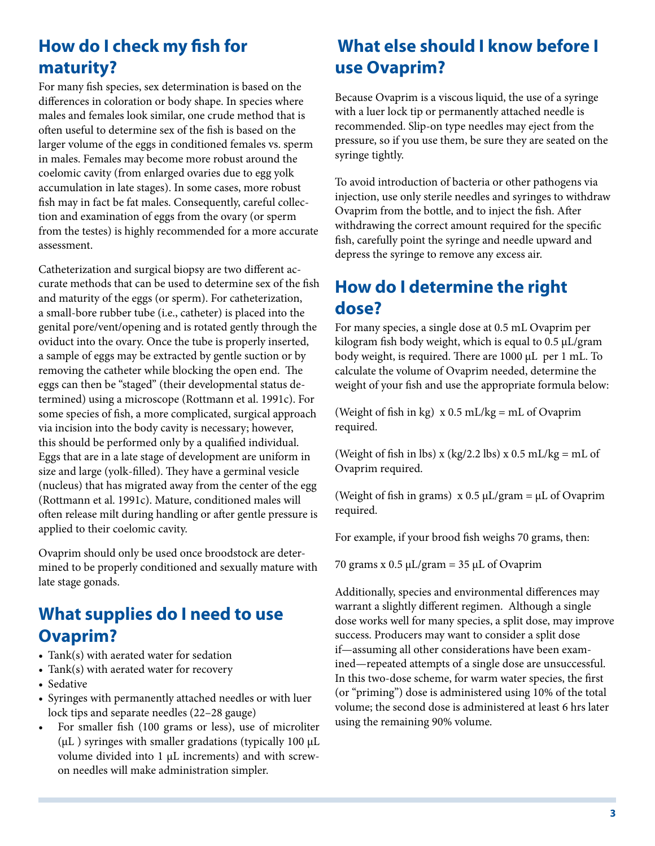# **How do I check my fish for maturity?**

For many fish species, sex determination is based on the differences in coloration or body shape. In species where males and females look similar, one crude method that is often useful to determine sex of the fish is based on the larger volume of the eggs in conditioned females vs. sperm in males. Females may become more robust around the coelomic cavity (from enlarged ovaries due to egg yolk accumulation in late stages). In some cases, more robust fish may in fact be fat males. Consequently, careful collection and examination of eggs from the ovary (or sperm from the testes) is highly recommended for a more accurate assessment.

Catheterization and surgical biopsy are two different accurate methods that can be used to determine sex of the fish and maturity of the eggs (or sperm). For catheterization, a small-bore rubber tube (i.e., catheter) is placed into the genital pore/vent/opening and is rotated gently through the oviduct into the ovary. Once the tube is properly inserted, a sample of eggs may be extracted by gentle suction or by removing the catheter while blocking the open end. The eggs can then be "staged" (their developmental status determined) using a microscope (Rottmann et al. 1991c). For some species of fish, a more complicated, surgical approach via incision into the body cavity is necessary; however, this should be performed only by a qualified individual. Eggs that are in a late stage of development are uniform in size and large (yolk-filled). They have a germinal vesicle (nucleus) that has migrated away from the center of the egg (Rottmann et al. 1991c). Mature, conditioned males will often release milt during handling or after gentle pressure is applied to their coelomic cavity.

Ovaprim should only be used once broodstock are determined to be properly conditioned and sexually mature with late stage gonads.

# **What supplies do I need to use Ovaprim?**

- Tank(s) with aerated water for sedation
- Tank(s) with aerated water for recovery
- Sedative
- Syringes with permanently attached needles or with luer lock tips and separate needles (22–28 gauge)
- • For smaller fish (100 grams or less), use of microliter (μL ) syringes with smaller gradations (typically 100 μL volume divided into 1 μL increments) and with screwon needles will make administration simpler.

# **What else should I know before I use Ovaprim?**

Because Ovaprim is a viscous liquid, the use of a syringe with a luer lock tip or permanently attached needle is recommended. Slip-on type needles may eject from the pressure, so if you use them, be sure they are seated on the syringe tightly.

To avoid introduction of bacteria or other pathogens via injection, use only sterile needles and syringes to withdraw Ovaprim from the bottle, and to inject the fish. After withdrawing the correct amount required for the specific fish, carefully point the syringe and needle upward and depress the syringe to remove any excess air.

# **How do I determine the right dose?**

For many species, a single dose at 0.5 mL Ovaprim per kilogram fish body weight, which is equal to 0.5 μL/gram body weight, is required. There are 1000 μL per 1 mL. To calculate the volume of Ovaprim needed, determine the weight of your fish and use the appropriate formula below:

(Weight of fish in kg)  $x 0.5$  mL/kg = mL of Ovaprim required.

(Weight of fish in lbs) x (kg/2.2 lbs) x  $0.5$  mL/kg = mL of Ovaprim required.

(Weight of fish in grams)  $x 0.5 \mu L/gram = \mu L$  of Ovaprim required.

For example, if your brood fish weighs 70 grams, then:

70 grams x  $0.5 \mu L/gram = 35 \mu L$  of Ovaprim

Additionally, species and environmental differences may warrant a slightly different regimen. Although a single dose works well for many species, a split dose, may improve success. Producers may want to consider a split dose if—assuming all other considerations have been examined—repeated attempts of a single dose are unsuccessful. In this two-dose scheme, for warm water species, the first (or "priming") dose is administered using 10% of the total volume; the second dose is administered at least 6 hrs later using the remaining 90% volume.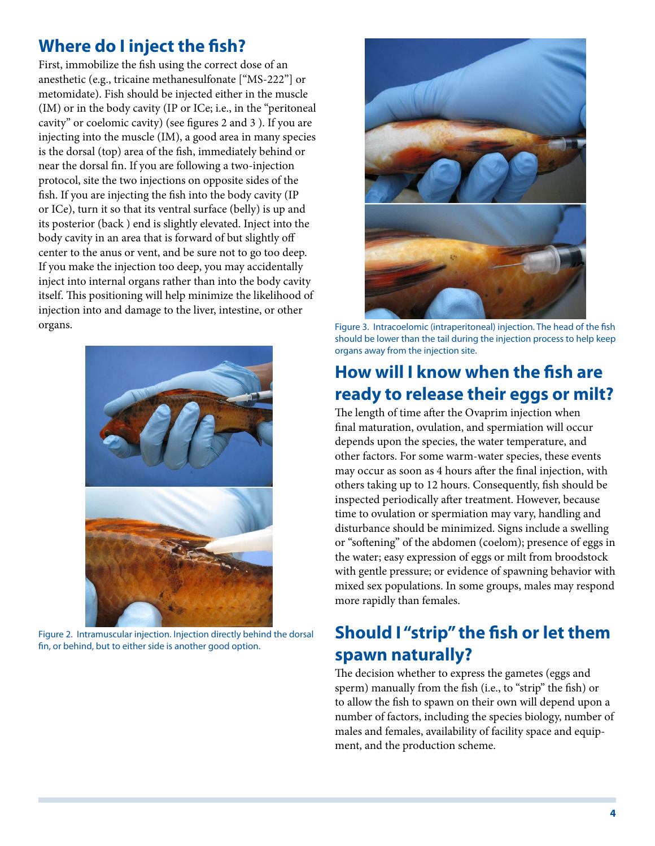### **Where do I inject the fish?**

First, immobilize the fish using the correct dose of an anesthetic (e.g., tricaine methanesulfonate ["MS-222"] or metomidate). Fish should be injected either in the muscle (IM) or in the body cavity (IP or ICe; i.e., in the "peritoneal cavity" or coelomic cavity) (see figures 2 and 3 ). If you are injecting into the muscle (IM), a good area in many species is the dorsal (top) area of the fish, immediately behind or near the dorsal fin. If you are following a two-injection protocol, site the two injections on opposite sides of the fish. If you are injecting the fish into the body cavity (IP or ICe), turn it so that its ventral surface (belly) is up and its posterior (back ) end is slightly elevated. Inject into the body cavity in an area that is forward of but slightly off center to the anus or vent, and be sure not to go too deep. If you make the injection too deep, you may accidentally inject into internal organs rather than into the body cavity itself. This positioning will help minimize the likelihood of injection into and damage to the liver, intestine, or other organs.



Figure 2. Intramuscular injection. Injection directly behind the dorsal fin, or behind, but to either side is another good option.



Figure 3. Intracoelomic (intraperitoneal) injection. The head of the fish should be lower than the tail during the injection process to help keep organs away from the injection site.

# **How will I know when the fish are ready to release their eggs or milt?**

The length of time after the Ovaprim injection when final maturation, ovulation, and spermiation will occur depends upon the species, the water temperature, and other factors. For some warm-water species, these events may occur as soon as 4 hours after the final injection, with others taking up to 12 hours. Consequently, fish should be inspected periodically after treatment. However, because time to ovulation or spermiation may vary, handling and disturbance should be minimized. Signs include a swelling or "softening" of the abdomen (coelom); presence of eggs in the water; easy expression of eggs or milt from broodstock with gentle pressure; or evidence of spawning behavior with mixed sex populations. In some groups, males may respond more rapidly than females.

# **Should I "strip" the fish or let them spawn naturally?**

The decision whether to express the gametes (eggs and sperm) manually from the fish (i.e., to "strip" the fish) or to allow the fish to spawn on their own will depend upon a number of factors, including the species biology, number of males and females, availability of facility space and equipment, and the production scheme.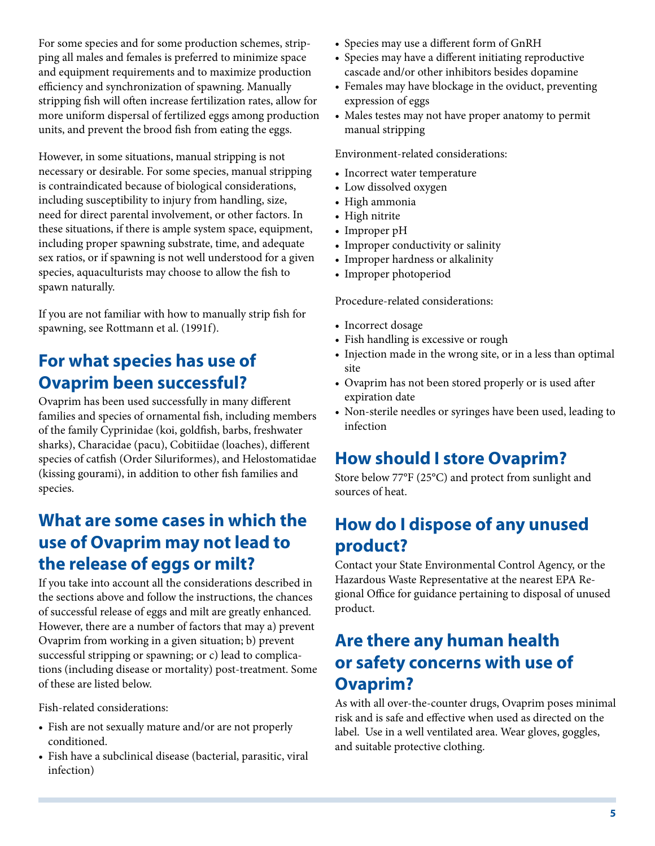For some species and for some production schemes, stripping all males and females is preferred to minimize space and equipment requirements and to maximize production efficiency and synchronization of spawning. Manually stripping fish will often increase fertilization rates, allow for more uniform dispersal of fertilized eggs among production units, and prevent the brood fish from eating the eggs.

However, in some situations, manual stripping is not necessary or desirable. For some species, manual stripping is contraindicated because of biological considerations, including susceptibility to injury from handling, size, need for direct parental involvement, or other factors. In these situations, if there is ample system space, equipment, including proper spawning substrate, time, and adequate sex ratios, or if spawning is not well understood for a given species, aquaculturists may choose to allow the fish to spawn naturally.

If you are not familiar with how to manually strip fish for spawning, see Rottmann et al. (1991f).

# **For what species has use of Ovaprim been successful?**

Ovaprim has been used successfully in many different families and species of ornamental fish, including members of the family Cyprinidae (koi, goldfish, barbs, freshwater sharks), Characidae (pacu), Cobitiidae (loaches), different species of catfish (Order Siluriformes), and Helostomatidae (kissing gourami), in addition to other fish families and species.

# **What are some cases in which the use of Ovaprim may not lead to the release of eggs or milt?**

If you take into account all the considerations described in the sections above and follow the instructions, the chances of successful release of eggs and milt are greatly enhanced. However, there are a number of factors that may a) prevent Ovaprim from working in a given situation; b) prevent successful stripping or spawning; or c) lead to complications (including disease or mortality) post-treatment. Some of these are listed below.

Fish-related considerations:

- Fish are not sexually mature and/or are not properly conditioned.
- • Fish have a subclinical disease (bacterial, parasitic, viral infection)
- Species may use a different form of GnRH
- Species may have a different initiating reproductive cascade and/or other inhibitors besides dopamine
- Females may have blockage in the oviduct, preventing expression of eggs
- Males testes may not have proper anatomy to permit manual stripping

Environment-related considerations:

- Incorrect water temperature
- Low dissolved oxygen
- High ammonia
- High nitrite
- Improper pH
- Improper conductivity or salinity
- Improper hardness or alkalinity
- Improper photoperiod

Procedure-related considerations:

- Incorrect dosage
- Fish handling is excessive or rough
- Injection made in the wrong site, or in a less than optimal site
- • Ovaprim has not been stored properly or is used after expiration date
- • Non-sterile needles or syringes have been used, leading to infection

# **How should I store Ovaprim?**

Store below 77°F (25°C) and protect from sunlight and sources of heat.

# **How do I dispose of any unused product?**

Contact your State Environmental Control Agency, or the Hazardous Waste Representative at the nearest EPA Regional Office for guidance pertaining to disposal of unused product.

# **Are there any human health or safety concerns with use of Ovaprim?**

As with all over-the-counter drugs, Ovaprim poses minimal risk and is safe and effective when used as directed on the label. Use in a well ventilated area. Wear gloves, goggles, and suitable protective clothing.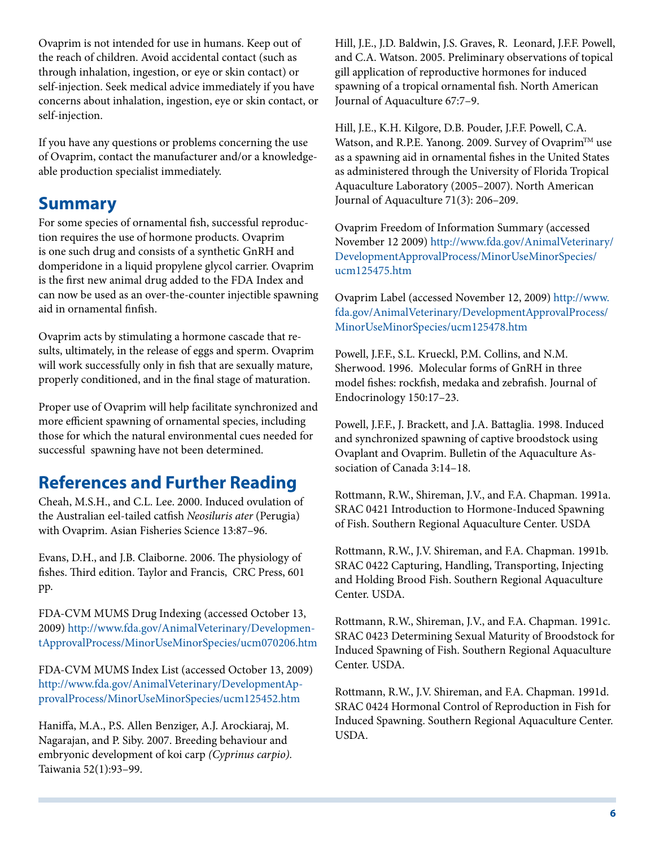Ovaprim is not intended for use in humans. Keep out of the reach of children. Avoid accidental contact (such as through inhalation, ingestion, or eye or skin contact) or self-injection. Seek medical advice immediately if you have concerns about inhalation, ingestion, eye or skin contact, or self-injection.

If you have any questions or problems concerning the use of Ovaprim, contact the manufacturer and/or a knowledgeable production specialist immediately.

#### **Summary**

For some species of ornamental fish, successful reproduction requires the use of hormone products. Ovaprim is one such drug and consists of a synthetic GnRH and domperidone in a liquid propylene glycol carrier. Ovaprim is the first new animal drug added to the FDA Index and can now be used as an over-the-counter injectible spawning aid in ornamental finfish.

Ovaprim acts by stimulating a hormone cascade that results, ultimately, in the release of eggs and sperm. Ovaprim will work successfully only in fish that are sexually mature, properly conditioned, and in the final stage of maturation.

Proper use of Ovaprim will help facilitate synchronized and more efficient spawning of ornamental species, including those for which the natural environmental cues needed for successful spawning have not been determined.

# **References and Further Reading**

Cheah, M.S.H., and C.L. Lee. 2000. Induced ovulation of the Australian eel-tailed catfish *Neosiluris ater* (Perugia) with Ovaprim. Asian Fisheries Science 13:87–96.

Evans, D.H., and J.B. Claiborne. 2006. The physiology of fishes. Third edition. Taylor and Francis, CRC Press, 601 pp.

FDA-CVM MUMS Drug Indexing (accessed October 13, 2009) [http://www.fda.gov/AnimalVeterinary/Developmen](http://www.fda.gov/AnimalVeterinary/DevelopmentApprovalProcess/MinorUseMinorSpecies/ucm070206.htm)[tApprovalProcess/MinorUseMinorSpecies/ucm070206.htm](http://www.fda.gov/AnimalVeterinary/DevelopmentApprovalProcess/MinorUseMinorSpecies/ucm070206.htm)

FDA-CVM MUMS Index List (accessed October 13, 2009) [http://www.fda.gov/AnimalVeterinary/DevelopmentAp]( http://www.fda.gov/AnimalVeterinary/DevelopmentApprovalProcess/MinorUseMinorSpecies/ucm125452.htm)[provalProcess/MinorUseMinorSpecies/ucm125452.htm]( http://www.fda.gov/AnimalVeterinary/DevelopmentApprovalProcess/MinorUseMinorSpecies/ucm125452.htm)

Haniffa, M.A., P.S. Allen Benziger, A.J. Arockiaraj, M. Nagarajan, and P. Siby. 2007. Breeding behaviour and embryonic development of koi carp *(Cyprinus carpio).*  Taiwania 52(1):93–99.

Hill, J.E., J.D. Baldwin, J.S. Graves, R. Leonard, J.F.F. Powell, and C.A. Watson. 2005. Preliminary observations of topical gill application of reproductive hormones for induced spawning of a tropical ornamental fish. North American Journal of Aquaculture 67:7–9.

Hill, J.E., K.H. Kilgore, D.B. Pouder, J.F.F. Powell, C.A. Watson, and R.P.E. Yanong. 2009. Survey of Ovaprim™ use as a spawning aid in ornamental fishes in the United States as administered through the University of Florida Tropical Aquaculture Laboratory (2005–2007). North American Journal of Aquaculture 71(3): 206–209.

Ovaprim Freedom of Information Summary (accessed November 12 2009) [http://www.fda.gov/AnimalVeterinary/]( http://www.fda.gov/AnimalVeterinary/DevelopmentApprovalProcess/MinorUseMinorSpecies/ucm125475.htm) [DevelopmentApprovalProcess/MinorUseMinorSpecies/]( http://www.fda.gov/AnimalVeterinary/DevelopmentApprovalProcess/MinorUseMinorSpecies/ucm125475.htm) [ucm125475.htm]( http://www.fda.gov/AnimalVeterinary/DevelopmentApprovalProcess/MinorUseMinorSpecies/ucm125475.htm)

Ovaprim Label (accessed November 12, 2009) [http://www.]( http://www.fda.gov/AnimalVeterinary/DevelopmentApprovalProcess/MinorUseMinorSpecies/ucm125478.htm) [fda.gov/AnimalVeterinary/DevelopmentApprovalProcess/]( http://www.fda.gov/AnimalVeterinary/DevelopmentApprovalProcess/MinorUseMinorSpecies/ucm125478.htm) [MinorUseMinorSpecies/ucm125478.htm]( http://www.fda.gov/AnimalVeterinary/DevelopmentApprovalProcess/MinorUseMinorSpecies/ucm125478.htm)

Powell, J.F.F., S.L. Krueckl, P.M. Collins, and N.M. Sherwood. 1996. Molecular forms of GnRH in three model fishes: rockfish, medaka and zebrafish. Journal of Endocrinology 150:17–23.

Powell, J.F.F., J. Brackett, and J.A. Battaglia. 1998. Induced and synchronized spawning of captive broodstock using Ovaplant and Ovaprim. Bulletin of the Aquaculture Association of Canada 3:14–18.

Rottmann, R.W., Shireman, J.V., and F.A. Chapman. 1991a. SRAC 0421 Introduction to Hormone-Induced Spawning of Fish. Southern Regional Aquaculture Center. USDA

Rottmann, R.W., J.V. Shireman, and F.A. Chapman. 1991b. SRAC 0422 Capturing, Handling, Transporting, Injecting and Holding Brood Fish. Southern Regional Aquaculture Center. USDA.

Rottmann, R.W., Shireman, J.V., and F.A. Chapman. 1991c. SRAC 0423 Determining Sexual Maturity of Broodstock for Induced Spawning of Fish. Southern Regional Aquaculture Center. USDA.

Rottmann, R.W., J.V. Shireman, and F.A. Chapman. 1991d. SRAC 0424 Hormonal Control of Reproduction in Fish for Induced Spawning. Southern Regional Aquaculture Center. USDA.